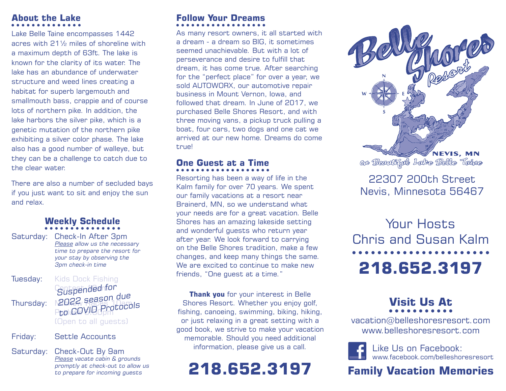#### **About the Lake**

Lake Belle Taine encompasses 1442 acres with 21½ miles of shoreline with a maximum depth of 63ft. The lake is known for the clarity of its water. The lake has an abundance of underwater structure and weed lines creating a habitat for superb largemouth and smallmouth bass, crappie and of course lots of northern pike. In addition, the lake harbors the silver pike, which is a genetic mutation of the northern pike exhibiting a silver color phase. The lake also has a good number of walleye, but they can be a challenge to catch due to the clear water.

There are also a number of secluded bays if you just want to sit and enjoy the sun and relax.

#### **Weekly Schedule**

Saturday: Check-In After 3pm Please allow us the necessary time to prepare the resort for your stay by observing the 3pm check-in time

**Tuesday:** Kids Dock Fishing **Contepended for** Thursday:  $N2044$  Races 10am rades 1:30es<br>PtolCQVID Protocols (Open to all guests) 2022 season due

Friday: Settle Accounts

Saturday: Check-Out By 9am Please vacate cabin & grounds promptly at check-out to allow us to prepare for incoming guests

## **Follow Your Dreams**

As many resort owners, it all started with a dream - a dream so BIG, it sometimes seemed unachievable. But with a lot of perseverance and desire to fulfill that dream, it has come true. After searching for the "perfect place" for over a year, we sold AUTOWORX, our automotive repair business in Mount Vernon, Iowa, and followed that dream. In June of 2017, we purchased Belle Shores Resort, and with three moving vans, a pickup truck pulling a boat, four cars, two dogs and one cat we arrived at our new home. Dreams do come true!

## **One Guest at a Time**

Resorting has been a way of life in the Kalm family for over 70 years. We spent our family vacations at a resort near Brainerd, MN, so we understand what your needs are for a great vacation. Belle Shores has an amazing lakeside setting and wonderful guests who return year after year. We look forward to carrying on the Belle Shores tradition, make a few changes, and keep many things the same. We are excited to continue to make new friends, "One guest at a time."

**Thank you** for your interest in Belle Shores Resort. Whether you enjoy golf, fishing, canoeing, swimming, biking, hiking, or just relaxing in a great setting with a good book, we strive to make your vacation memorable. Should you need additional information, please give us a call.

## **218.652.3197**



#### 22307 200th Street Nevis, Minnesota 56467

Your Hosts Chris and Susan Kalm **218.652.3197**

# **Visit Us At**

vacation@belleshoresresort.com www.belleshoresresort.com



#### **Family Vacation Memories**